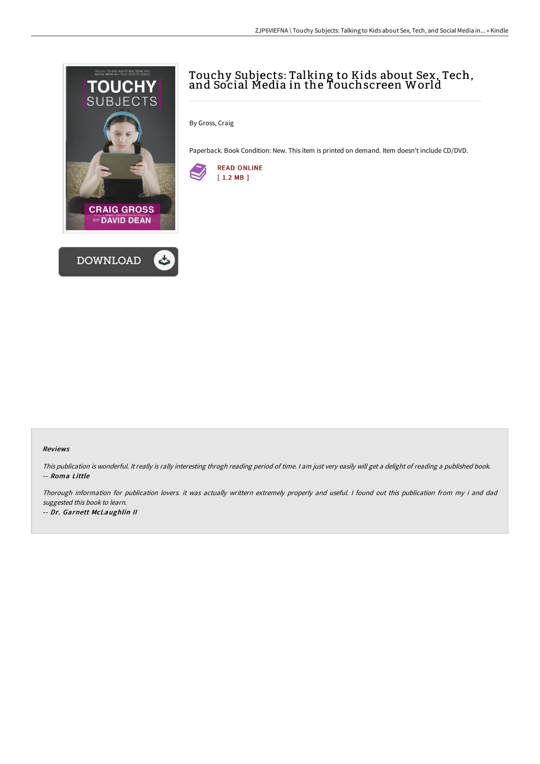



# Touchy Subjects: Talking to Kids about Sex, Tech, and Social Media in the Touchscreen World

By Gross, Craig

Paperback. Book Condition: New. This item is printed on demand. Item doesn't include CD/DVD.



#### Reviews

This publication is wonderful. It really is rally interesting throgh reading period of time. <sup>I</sup> am just very easily will get <sup>a</sup> delight of reading <sup>a</sup> published book. -- Roma Little

Thorough information for publication lovers. it was actually writtern extremely properly and useful. <sup>I</sup> found out this publication from my i and dad suggested this book to learn.

-- Dr. Garnett McLaughlin II